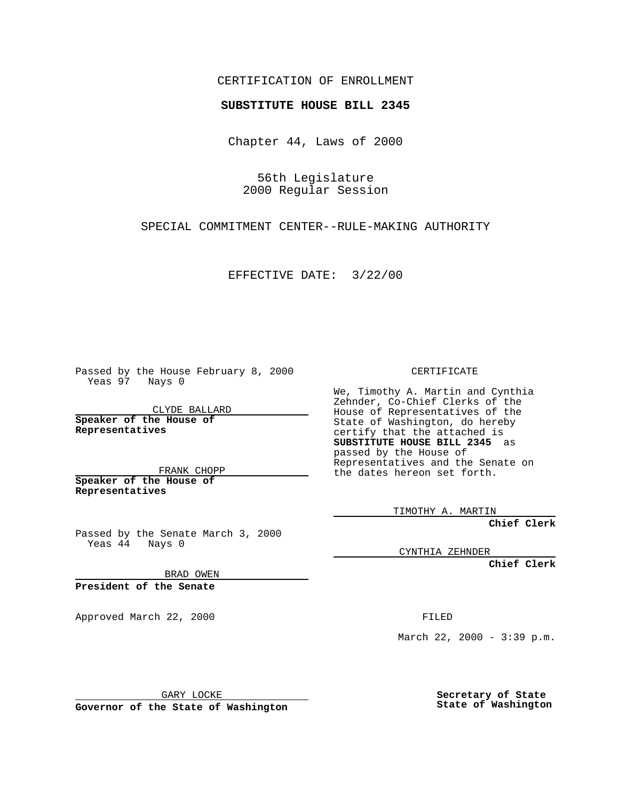CERTIFICATION OF ENROLLMENT

## **SUBSTITUTE HOUSE BILL 2345**

Chapter 44, Laws of 2000

56th Legislature 2000 Regular Session

SPECIAL COMMITMENT CENTER--RULE-MAKING AUTHORITY

EFFECTIVE DATE: 3/22/00

Passed by the House February 8, 2000 Yeas 97 Nays 0

CLYDE BALLARD **Speaker of the House of Representatives**

FRANK CHOPP **Speaker of the House of**

**Representatives**

Passed by the Senate March 3, 2000 Yeas 44 Nays 0

BRAD OWEN

**President of the Senate**

Approved March 22, 2000 FILED

CERTIFICATE

We, Timothy A. Martin and Cynthia Zehnder, Co-Chief Clerks of the House of Representatives of the State of Washington, do hereby certify that the attached is **SUBSTITUTE HOUSE BILL 2345** as passed by the House of Representatives and the Senate on the dates hereon set forth.

TIMOTHY A. MARTIN

**Chief Clerk**

CYNTHIA ZEHNDER

**Chief Clerk**

March 22, 2000 - 3:39 p.m.

GARY LOCKE

**Governor of the State of Washington**

**Secretary of State State of Washington**